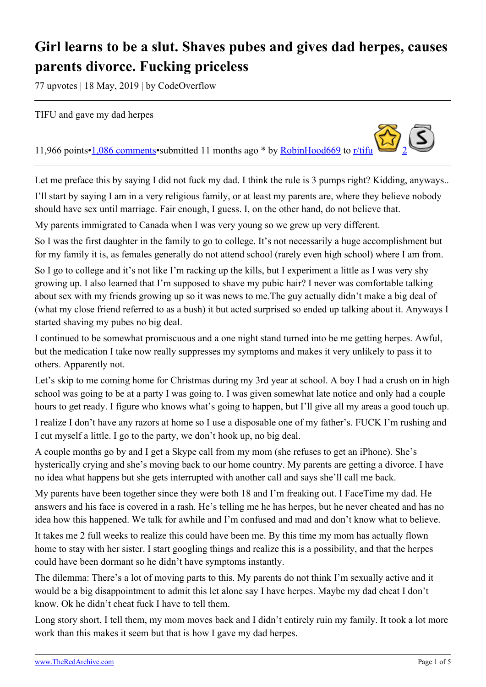## **Girl learns to be a slut. Shaves pubes and gives dad herpes, causes parents divorce. Fucking priceless**

77 upvotes | 18 May, 2019 | by CodeOverflow

TIFU and gave my dad herpes

11,966 points[•1,086 comments](https://old.reddit.com/r/tifu/comments/bpy7kz/tifu_and_gave_my_dad_herpes/)•submitted 11 months ago \* by [RobinHood669](https://old.reddit.com/user/RobinHood669) to [r/tifu](https://old.reddit.com/r/tifu/)

Let me preface this by saying I did not fuck my dad. I think the rule is 3 pumps right? Kidding, anyways..

I'll start by saying I am in a very religious family, or at least my parents are, where they believe nobody should have sex until marriage. Fair enough, I guess. I, on the other hand, do not believe that.

My parents immigrated to Canada when I was very young so we grew up very different.

So I was the first daughter in the family to go to college. It's not necessarily a huge accomplishment but for my family it is, as females generally do not attend school (rarely even high school) where I am from.

So I go to college and it's not like I'm racking up the kills, but I experiment a little as I was very shy growing up. I also learned that I'm supposed to shave my pubic hair? I never was comfortable talking about sex with my friends growing up so it was news to me.The guy actually didn't make a big deal of (what my close friend referred to as a bush) it but acted surprised so ended up talking about it. Anyways I started shaving my pubes no big deal.

I continued to be somewhat promiscuous and a one night stand turned into be me getting herpes. Awful, but the medication I take now really suppresses my symptoms and makes it very unlikely to pass it to others. Apparently not.

Let's skip to me coming home for Christmas during my 3rd year at school. A boy I had a crush on in high school was going to be at a party I was going to. I was given somewhat late notice and only had a couple hours to get ready. I figure who knows what's going to happen, but I'll give all my areas a good touch up.

I realize I don't have any razors at home so I use a disposable one of my father's. FUCK I'm rushing and I cut myself a little. I go to the party, we don't hook up, no big deal.

A couple months go by and I get a Skype call from my mom (she refuses to get an iPhone). She's hysterically crying and she's moving back to our home country. My parents are getting a divorce. I have no idea what happens but she gets interrupted with another call and says she'll call me back.

My parents have been together since they were both 18 and I'm freaking out. I FaceTime my dad. He answers and his face is covered in a rash. He's telling me he has herpes, but he never cheated and has no idea how this happened. We talk for awhile and I'm confused and mad and don't know what to believe.

It takes me 2 full weeks to realize this could have been me. By this time my mom has actually flown home to stay with her sister. I start googling things and realize this is a possibility, and that the herpes could have been dormant so he didn't have symptoms instantly.

The dilemma: There's a lot of moving parts to this. My parents do not think I'm sexually active and it would be a big disappointment to admit this let alone say I have herpes. Maybe my dad cheat I don't know. Ok he didn't cheat fuck I have to tell them.

Long story short, I tell them, my mom moves back and I didn't entirely ruin my family. It took a lot more work than this makes it seem but that is how I gave my dad herpes.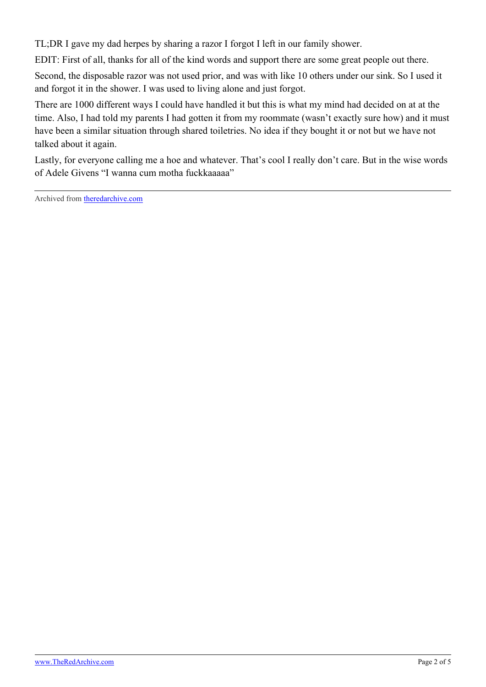TL;DR I gave my dad herpes by sharing a razor I forgot I left in our family shower.

EDIT: First of all, thanks for all of the kind words and support there are some great people out there.

Second, the disposable razor was not used prior, and was with like 10 others under our sink. So I used it and forgot it in the shower. I was used to living alone and just forgot.

There are 1000 different ways I could have handled it but this is what my mind had decided on at at the time. Also, I had told my parents I had gotten it from my roommate (wasn't exactly sure how) and it must have been a similar situation through shared toiletries. No idea if they bought it or not but we have not talked about it again.

Lastly, for everyone calling me a hoe and whatever. That's cool I really don't care. But in the wise words of Adele Givens "I wanna cum motha fuckkaaaaa"

Archived from [theredarchive.com](https://theredarchive.com/r/MGTOW/girl-learns-to-be-a-slut-shaves-pubes-and-gives.463790)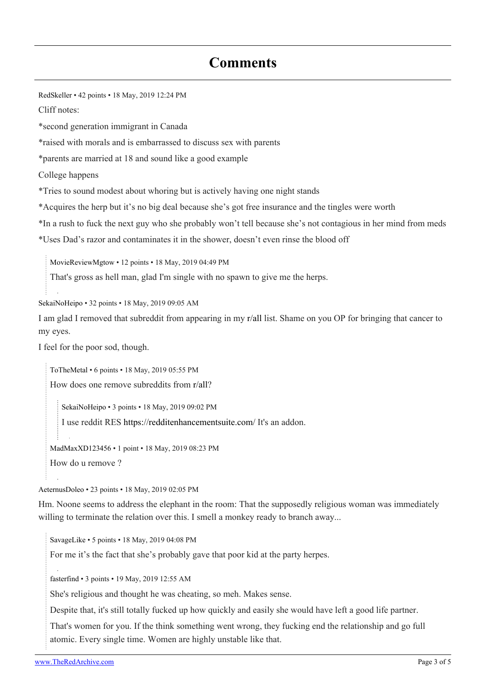## **Comments**

[RedSkeller](https://old.reddit.com/user/RedSkeller) • 42 points • 18 May, 2019 12:24 PM Cliff notes: \*second generation immigrant in Canada \*raised with morals and is embarrassed to discuss sex with parents \*parents are married at 18 and sound like a good example College happens \*Tries to sound modest about whoring but is actively having one night stands \*Acquires the herp but it's no big deal because she's got free insurance and the tingles were worth \*In a rush to fuck the next guy who she probably won't tell because she's not contagious in her mind from meds \*Uses Dad's razor and contaminates it in the shower, doesn't even rinse the blood off

[MovieReviewMgtow](https://old.reddit.com/user/MovieReviewMgtow) • 12 points • 18 May, 2019 04:49 PM

That's gross as hell man, glad I'm single with no spawn to give me the herps.

[SekaiNoHeipo](https://old.reddit.com/user/SekaiNoHeipo) • 32 points • 18 May, 2019 09:05 AM

I am glad I removed that subreddit from appearing in my [r/all](https://theredarchive.com/r/all) list. Shame on you OP for bringing that cancer to my eyes.

I feel for the poor sod, though.

[ToTheMetal](https://old.reddit.com/user/ToTheMetal) • 6 points • 18 May, 2019 05:55 PM

How does one remove subreddits from [r/all](https://theredarchive.com/r/all)?

[SekaiNoHeipo](https://old.reddit.com/user/SekaiNoHeipo) • 3 points • 18 May, 2019 09:02 PM

I use reddit RES<https://redditenhancementsuite.com/>It's an addon.

[MadMaxXD123456](https://old.reddit.com/user/MadMaxXD123456) • 1 point • 18 May, 2019 08:23 PM

How do u remove ?

[AeternusDoleo](https://old.reddit.com/user/AeternusDoleo) • 23 points • 18 May, 2019 02:05 PM

Hm. Noone seems to address the elephant in the room: That the supposedly religious woman was immediately willing to terminate the relation over this. I smell a monkey ready to branch away...

[SavageLike](https://old.reddit.com/user/SavageLike) • 5 points • 18 May, 2019 04:08 PM

For me it's the fact that she's probably gave that poor kid at the party herpes.

[fasterfind](https://old.reddit.com/user/fasterfind) • 3 points • 19 May, 2019 12:55 AM

She's religious and thought he was cheating, so meh. Makes sense.

Despite that, it's still totally fucked up how quickly and easily she would have left a good life partner.

That's women for you. If the think something went wrong, they fucking end the relationship and go full atomic. Every single time. Women are highly unstable like that.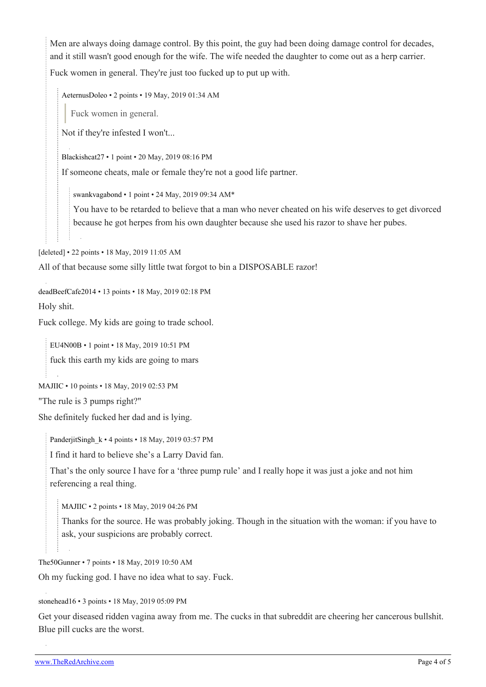Men are always doing damage control. By this point, the guy had been doing damage control for decades, and it still wasn't good enough for the wife. The wife needed the daughter to come out as a herp carrier. Fuck women in general. They're just too fucked up to put up with.

[AeternusDoleo](https://old.reddit.com/user/AeternusDoleo) • 2 points • 19 May, 2019 01:34 AM

Fuck women in general.

Not if they're infested I won't...

[Blackishcat27](https://old.reddit.com/user/Blackishcat27) • 1 point • 20 May, 2019 08:16 PM

If someone cheats, male or female they're not a good life partner.

[swankvagabond](https://old.reddit.com/user/swankvagabond) • 1 point • 24 May, 2019 09:34 AM\*

You have to be retarded to believe that a man who never cheated on his wife deserves to get divorced because he got herpes from his own daughter because she used his razor to shave her pubes.

[deleted] • 22 points • 18 May, 2019 11:05 AM

All of that because some silly little twat forgot to bin a DISPOSABLE razor!

[deadBeefCafe2014](https://old.reddit.com/user/deadBeefCafe2014) • 13 points • 18 May, 2019 02:18 PM Holy shit.

Fuck college. My kids are going to trade school.

[EU4N00B](https://old.reddit.com/user/EU4N00B) • 1 point • 18 May, 2019 10:51 PM fuck this earth my kids are going to mars

```
MAJIIC • 10 points • 18 May, 2019 02:53 PM
```
"The rule is 3 pumps right?"

She definitely fucked her dad and is lying.

PanderjitSingh  $k \cdot 4$  points  $\cdot 18$  May, 2019 03:57 PM

I find it hard to believe she's a Larry David fan.

That's the only source I have for a 'three pump rule' and I really hope it was just a joke and not him referencing a real thing.

[MAJIIC](https://old.reddit.com/user/MAJIIC) • 2 points • 18 May, 2019 04:26 PM

Thanks for the source. He was probably joking. Though in the situation with the woman: if you have to ask, your suspicions are probably correct.

[The50Gunner](https://old.reddit.com/user/The50Gunner) • 7 points • 18 May, 2019 10:50 AM

Oh my fucking god. I have no idea what to say. Fuck.

[stonehead16](https://old.reddit.com/user/stonehead16) • 3 points • 18 May, 2019 05:09 PM

Get your diseased ridden vagina away from me. The cucks in that subreddit are cheering her cancerous bullshit. Blue pill cucks are the worst.